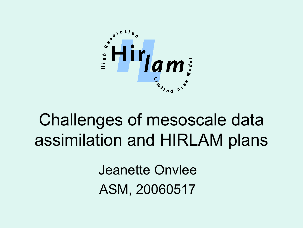

# Challenges of mesoscale data assimilation and HIRLAM plans

Jeanette Onvlee ASM, 20060517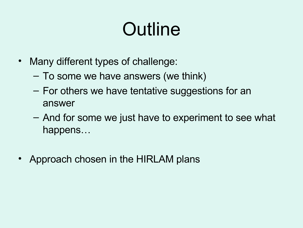# **Outline**

- Many different types of challenge:
	- To some we have answers (we think)
	- For others we have tentative suggestions for an answer
	- And for some we just have to experiment to see what happens…
- Approach chosen in the HIRLAM plans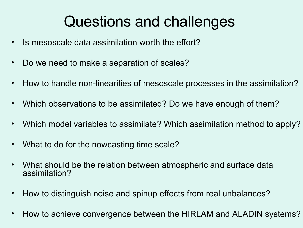# Questions and challenges

- Is mesoscale data assimilation worth the effort?
- Do we need to make a separation of scales?
- How to handle non-linearities of mesoscale processes in the assimilation?
- Which observations to be assimilated? Do we have enough of them?
- Which model variables to assimilate? Which assimilation method to apply?
- What to do for the nowcasting time scale?
- What should be the relation between atmospheric and surface data assimilation?
- How to distinguish noise and spinup effects from real unbalances?
- How to achieve convergence between the HIRLAM and ALADIN systems?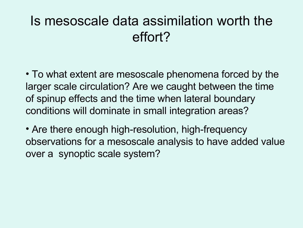#### Is mesoscale data assimilation worth the effort?

• To what extent are mesoscale phenomena forced by the larger scale circulation? Are we caught between the time of spinup effects and the time when lateral boundary conditions will dominate in small integration areas?

• Are there enough high-resolution, high-frequency observations for a mesoscale analysis to have added value over a synoptic scale system?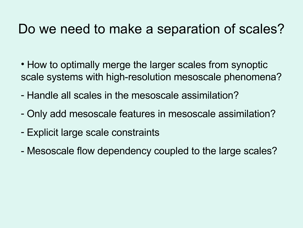#### Do we need to make a separation of scales?

- How to optimally merge the larger scales from synoptic scale systems with high-resolution mesoscale phenomena?
- Handle all scales in the mesoscale assimilation?
- Only add mesoscale features in mesoscale assimilation?
- Explicit large scale constraints
- Mesoscale flow dependency coupled to the large scales?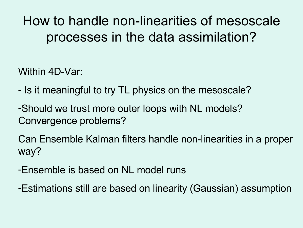How to handle non-linearities of mesoscale processes in the data assimilation?

Within 4D-Var:

- Is it meaningful to try TL physics on the mesoscale?
- -Should we trust more outer loops with NL models? Convergence problems?

Can Ensemble Kalman filters handle non-linearities in a proper way?

-Ensemble is based on NL model runs

-Estimations still are based on linearity (Gaussian) assumption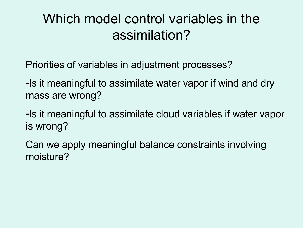#### Which model control variables in the assimilation?

Priorities of variables in adjustment processes?

-Is it meaningful to assimilate water vapor if wind and dry mass are wrong?

-Is it meaningful to assimilate cloud variables if water vapor is wrong?

Can we apply meaningful balance constraints involving moisture?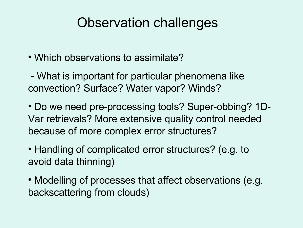#### Observation challenges

• Which observations to assimilate?

- What is important for particular phenomena like convection? Surface? Water vapor? Winds?

• Do we need pre-processing tools? Super-obbing? 1D-Var retrievals? More extensive quality control needed because of more complex error structures?

- Handling of complicated error structures? (e.g. to avoid data thinning)
- Modelling of processes that affect observations (e.g. backscattering from clouds)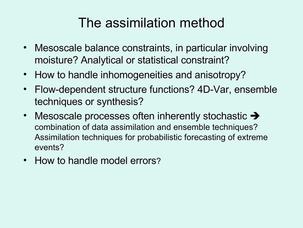## The assimilation method

- Mesoscale balance constraints, in particular involving moisture? Analytical or statistical constraint?
- How to handle inhomogeneities and anisotropy?
- Flow-dependent structure functions? 4D-Var, ensemble techniques or synthesis?
- Mesoscale processes often inherently stochastic  $\rightarrow$ combination of data assimilation and ensemble techniques? Assimilation techniques for probabilistic forecasting of extreme events?
- How to handle model errors?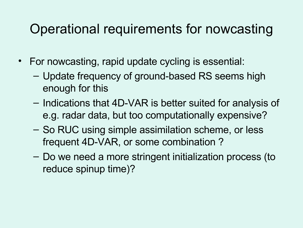#### Operational requirements for nowcasting

- For nowcasting, rapid update cycling is essential:
	- Update frequency of ground-based RS seems high enough for this
	- Indications that 4D-VAR is better suited for analysis of e.g. radar data, but too computationally expensive?
	- So RUC using simple assimilation scheme, or less frequent 4D-VAR, or some combination ?
	- Do we need a more stringent initialization process (to reduce spinup time)?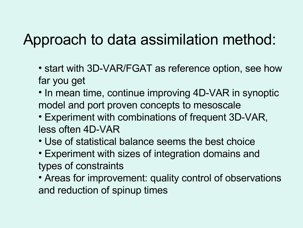## Approach to data assimilation method:

- start with 3D-VAR/FGAT as reference option, see how far you get
- In mean time, continue improving 4D-VAR in synoptic model and port proven concepts to mesoscale
- Experiment with combinations of frequent 3D-VAR, less often 4D-VAR
- Use of statistical balance seems the best choice
- Experiment with sizes of integration domains and types of constraints
- Areas for improvement: quality control of observations and reduction of spinup times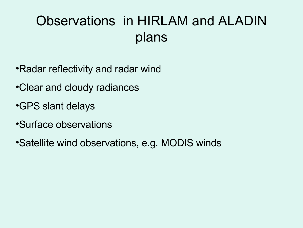## Observations in HIRLAM and ALADIN plans

- •Radar reflectivity and radar wind
- •Clear and cloudy radiances
- •GPS slant delays
- •Surface observations
- •Satellite wind observations, e.g. MODIS winds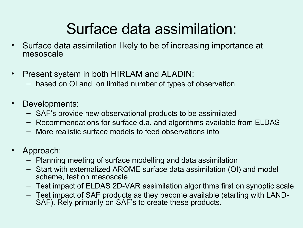# Surface data assimilation:

- Surface data assimilation likely to be of increasing importance at mesoscale
- Present system in both HIRLAM and ALADIN:
	- based on OI and on limited number of types of observation
- Developments:
	- SAF's provide new observational products to be assimilated
	- Recommendations for surface d.a. and algorithms available from ELDAS
	- More realistic surface models to feed observations into
- Approach:
	- Planning meeting of surface modelling and data assimilation
	- Start with externalized AROME surface data assimilation (OI) and model scheme, test on mesoscale
	- Test impact of ELDAS 2D-VAR assimilation algorithms first on synoptic scale
	- Test impact of SAF products as they become available (starting with LAND-SAF). Rely primarily on SAF's to create these products.